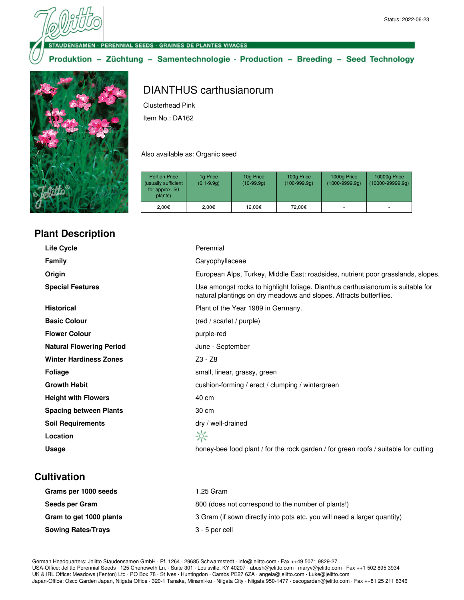**ENSAMEN - PERENNIAL SEEDS - GRAINES DE PLANTES VIVACES** 

Produktion - Züchtung - Samentechnologie · Production - Breeding - Seed Technology



# DIANTHUS carthusianorum

Clusterhead Pink

Item No.: DA162

Also available as: Organic seed

| <b>Portion Price</b><br>(usually sufficient<br>for approx. 50<br>plants) | 1g Price<br>$(0.1 - 9.9q)$ | 10g Price<br>$(10-99.9q)$ | 100g Price<br>$(100-999.9q)$ | 1000g Price<br>$(1000 - 9999.9q)$ | 10000g Price<br>$(10000 - 99999.9q)$ |
|--------------------------------------------------------------------------|----------------------------|---------------------------|------------------------------|-----------------------------------|--------------------------------------|
| 2.00€                                                                    | 2.00€                      | 12.00€                    | 72.00€                       |                                   |                                      |

## **Plant Description**

| Life Cycle                      | Perennial                                                                                                                                             |
|---------------------------------|-------------------------------------------------------------------------------------------------------------------------------------------------------|
| <b>Family</b>                   | Caryophyllaceae                                                                                                                                       |
| Origin                          | European Alps, Turkey, Middle East: roadsides, nutrient poor grasslands, slopes.                                                                      |
| <b>Special Features</b>         | Use amongst rocks to highlight foliage. Dianthus carthusianorum is suitable for<br>natural plantings on dry meadows and slopes. Attracts butterflies. |
| <b>Historical</b>               | Plant of the Year 1989 in Germany.                                                                                                                    |
| <b>Basic Colour</b>             | (red / scarlet / purple)                                                                                                                              |
| <b>Flower Colour</b>            | purple-red                                                                                                                                            |
| <b>Natural Flowering Period</b> | June - September                                                                                                                                      |
| <b>Winter Hardiness Zones</b>   | Z3 - Z8                                                                                                                                               |
| <b>Foliage</b>                  | small, linear, grassy, green                                                                                                                          |
| <b>Growth Habit</b>             | cushion-forming / erect / clumping / wintergreen                                                                                                      |
| <b>Height with Flowers</b>      | 40 cm                                                                                                                                                 |
| <b>Spacing between Plants</b>   | 30 cm                                                                                                                                                 |
| <b>Soil Requirements</b>        | dry / well-drained                                                                                                                                    |
| Location                        | ☆                                                                                                                                                     |
| Usage                           | honey-bee food plant / for the rock garden / for green roofs / suitable for cutting                                                                   |

## **Cultivation**

| Grams per 1000 seeds      | 1.25 Gram                                                                |
|---------------------------|--------------------------------------------------------------------------|
| Seeds per Gram            | 800 (does not correspond to the number of plants!)                       |
| Gram to get 1000 plants   | 3 Gram (if sown directly into pots etc. you will need a larger quantity) |
| <b>Sowing Rates/Trays</b> | 3 - 5 per cell                                                           |